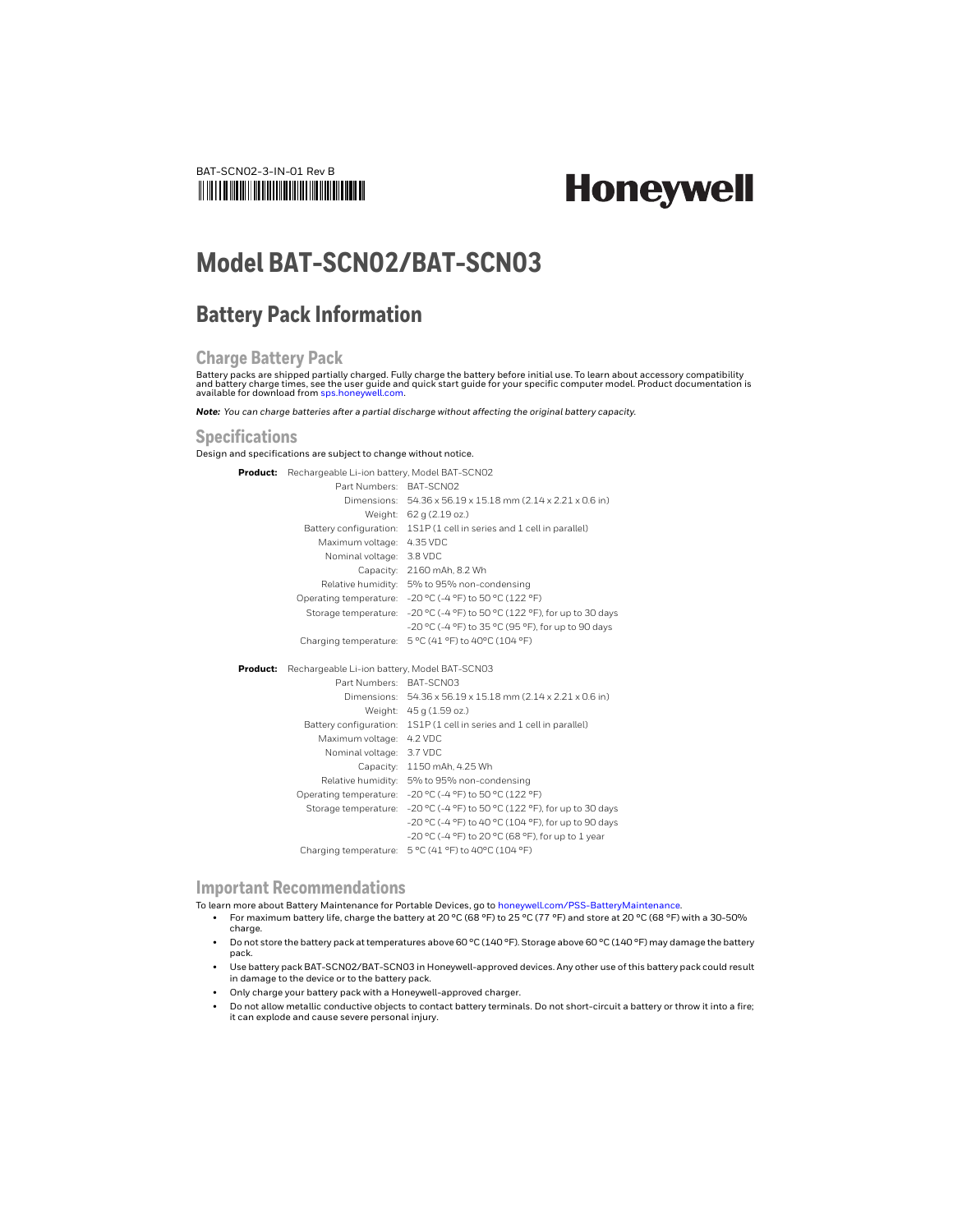

# **Honeywell**

## **Model BAT-SCN02/BAT-SCN03**

### **Battery Pack Information**

#### **Charge Battery Pack**

Battery packs are shipped partially charged. Fully charge the battery before initial use. To learn about accessory compatibility<br>and battery charge times, see the user guide and quick start guide for your specific computer available for download from [sps.honeywell.com](https://sps.honeywell.com).

*Note: You can charge batteries after a partial discharge without affecting the original battery capacity.*

#### **Specifications**

Design and specifications are subject to change without notice.

**Product:** Rechargeable Li-ion battery, Model BAT-SCN02

|          | Part Numbers: BAT-SCN02 |                                                                       |  |  |  |  |
|----------|-------------------------|-----------------------------------------------------------------------|--|--|--|--|
|          |                         | Dimensions: 54.36 x 56.19 x 15.18 mm (2.14 x 2.21 x 0.6 in)           |  |  |  |  |
|          |                         | Weight: 62 g (2.19 oz.)                                               |  |  |  |  |
|          |                         | Battery configuration: 1S1P (1 cell in series and 1 cell in parallel) |  |  |  |  |
|          | Maximum voltage:        | 4.35 VDC                                                              |  |  |  |  |
|          | Nominal voltage:        | 3.8 VDC                                                               |  |  |  |  |
|          |                         | Capacity: 2160 mAh, 8.2 Wh                                            |  |  |  |  |
|          |                         | Relative humidity: 5% to 95% non-condensing                           |  |  |  |  |
|          | Operating temperature:  | -20 °C (-4 °F) to 50 °C (122 °F)                                      |  |  |  |  |
|          | Storage temperature:    | -20 °C (-4 °F) to 50 °C (122 °F), for up to 30 days                   |  |  |  |  |
|          |                         | -20 °C (-4 °F) to 35 °C (95 °F), for up to 90 days                    |  |  |  |  |
|          | Charging temperature:   | 5 °C (41 °F) to 40°C (104 °F)                                         |  |  |  |  |
|          |                         |                                                                       |  |  |  |  |
| Product: |                         | Rechargeable Li-ion battery, Model BAT-SCN03                          |  |  |  |  |
|          | Part Numbers: BAT-SCN03 |                                                                       |  |  |  |  |
|          |                         | Dimensions: 54.36 x 56.19 x 15.18 mm (2.14 x 2.21 x 0.6 in)           |  |  |  |  |
|          |                         | Weight: 45 g (1.59 oz.)                                               |  |  |  |  |
|          | Battery configuration:  | 1S1P (1 cell in series and 1 cell in parallel)                        |  |  |  |  |
|          | Maximum voltage:        | 4.2 VDC                                                               |  |  |  |  |
|          | Nominal voltage:        | 3.7 VDC                                                               |  |  |  |  |
|          | Capacity:               | 1150 mAh, 4.25 Wh                                                     |  |  |  |  |
|          | Relative humidity:      | 5% to 95% non-condensing                                              |  |  |  |  |
|          | Operating temperature:  | -20 °C (-4 °F) to 50 °C (122 °F)                                      |  |  |  |  |
|          | Storage temperature:    | -20 °C (-4 °F) to 50 °C (122 °F), for up to 30 days                   |  |  |  |  |
|          |                         | -20 °C (-4 °F) to 40 °C (104 °F), for up to 90 days                   |  |  |  |  |
|          |                         | -20 °C (-4 °F) to 20 °C (68 °F), for up to 1 year                     |  |  |  |  |
|          | Charging temperature:   | 5 °C (41 °F) to 40°C (104 °F)                                         |  |  |  |  |

#### **Important Recommendations**

To learn more about Battery Maintenance for Portable Devices, go to [honeywell.com/PSS-BatteryMaintenance](https://honeywell.com/PSS-BatteryMaintenance).

- For maximum battery life, charge the battery at 20 °C (68 °F) to 25 °C (77 °F) and store at 20 °C (68 °F) with a 30-50% charge.
- Do not store the battery pack at temperatures above 60 °C (140 °F). Storage above 60 °C (140 °F) may damage the battery pack.
- Use battery pack BAT-SCN02/BAT-SCN03 in Honeywell-approved devices. Any other use of this battery pack could result in damage to the device or to the battery pack.
- Only charge your battery pack with a Honeywell-approved charger.
- Do not allow metallic conductive objects to contact battery terminals. Do not short-circuit a battery or throw it into a fire; it can explode and cause severe personal injury.